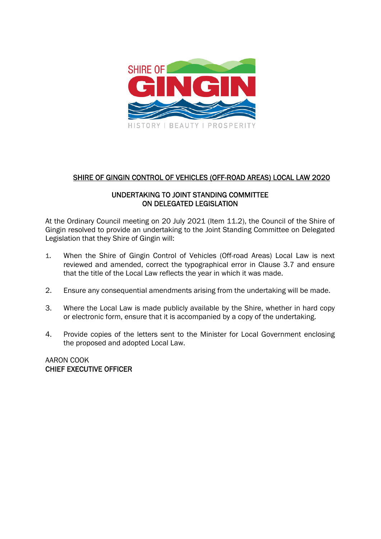

# SHIRE OF GINGIN CONTROL OF VEHICLES (OFF-ROAD AREAS) LOCAL LAW 2020

## UNDERTAKING TO JOINT STANDING COMMITTEE ON DELEGATED LEGISLATION

At the Ordinary Council meeting on 20 July 2021 (Item 11.2), the Council of the Shire of Gingin resolved to provide an undertaking to the Joint Standing Committee on Delegated Legislation that they Shire of Gingin will:

- 1. When the Shire of Gingin Control of Vehicles (Off-road Areas) Local Law is next reviewed and amended, correct the typographical error in Clause 3.7 and ensure that the title of the Local Law reflects the year in which it was made.
- 2. Ensure any consequential amendments arising from the undertaking will be made.
- 3. Where the Local Law is made publicly available by the Shire, whether in hard copy or electronic form, ensure that it is accompanied by a copy of the undertaking.
- 4. Provide copies of the letters sent to the Minister for Local Government enclosing the proposed and adopted Local Law.

AARON COOK CHIEF EXECUTIVE OFFICER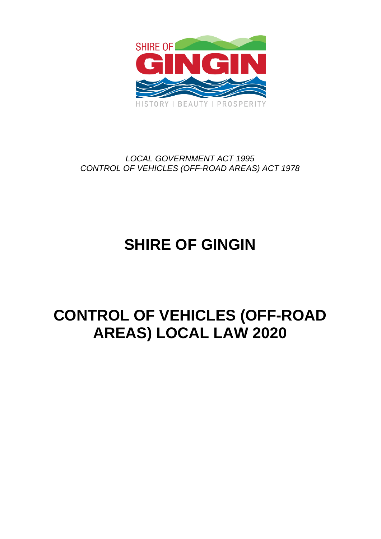

# *LOCAL GOVERNMENT ACT 1995 CONTROL OF VEHICLES (OFF-ROAD AREAS) ACT 1978*

# **SHIRE OF GINGIN**

# **CONTROL OF VEHICLES (OFF-ROAD AREAS) LOCAL LAW 2020**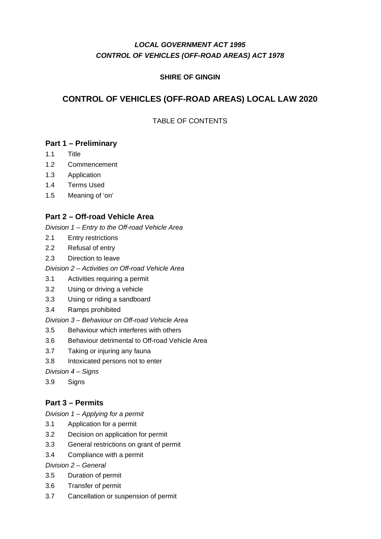# *LOCAL GOVERNMENT ACT 1995 CONTROL OF VEHICLES (OFF-ROAD AREAS) ACT 1978*

## **SHIRE OF GINGIN**

# **CONTROL OF VEHICLES (OFF-ROAD AREAS) LOCAL LAW 2020**

## TABLE OF CONTENTS

# **Part 1 – Preliminary**

- 1.1 Title
- 1.2 Commencement
- 1.3 Application
- 1.4 Terms Used
- 1.5 Meaning of 'on'

## **Part 2 – Off-road Vehicle Area**

*Division 1 – Entry to the Off-road Vehicle Area* 

- 2.1 Entry restrictions
- 2.2 Refusal of entry
- 2.3 Direction to leave
- *Division 2 Activities on Off-road Vehicle Area*
- 3.1 Activities requiring a permit
- 3.2 Using or driving a vehicle
- 3.3 Using or riding a sandboard
- 3.4 Ramps prohibited

*Division 3 – Behaviour on Off-road Vehicle Area* 

- 3.5 Behaviour which interferes with others
- 3.6 Behaviour detrimental to Off-road Vehicle Area
- 3.7 Taking or injuring any fauna
- 3.8 Intoxicated persons not to enter

*Division 4 – Signs* 

3.9 Signs

## **Part 3 – Permits**

*Division 1 – Applying for a permit* 

- 3.1 Application for a permit
- 3.2 Decision on application for permit
- 3.3 General restrictions on grant of permit
- 3.4 Compliance with a permit

*Division 2 – General* 

- 3.5 Duration of permit
- 3.6 Transfer of permit
- 3.7 Cancellation or suspension of permit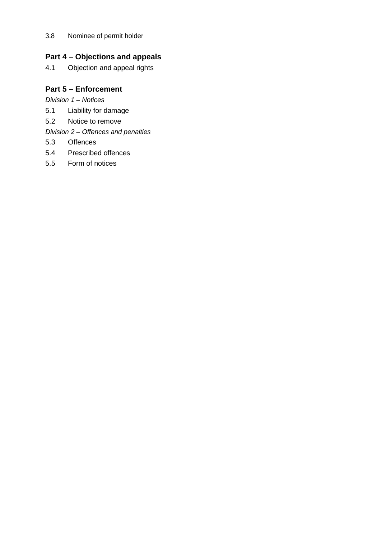### 3.8 Nominee of permit holder

# **Part 4 – Objections and appeals**

4.1 Objection and appeal rights

# **Part 5 – Enforcement**

*Division 1 – Notices* 

- 5.1 Liability for damage
- 5.2 Notice to remove

*Division 2 – Offences and penalties* 

- 5.3 Offences
- 5.4 Prescribed offences
- 5.5 Form of notices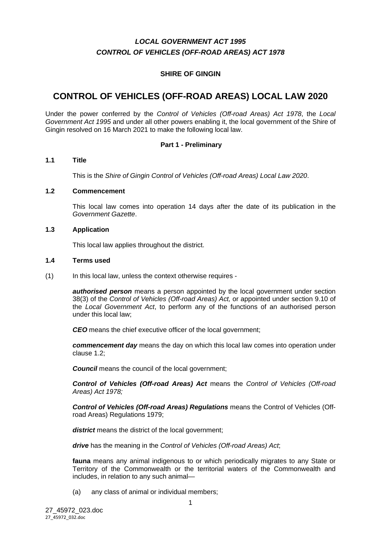# *LOCAL GOVERNMENT ACT 1995 CONTROL OF VEHICLES (OFF-ROAD AREAS) ACT 1978*

### **SHIRE OF GINGIN**

# **CONTROL OF VEHICLES (OFF-ROAD AREAS) LOCAL LAW 2020**

Under the power conferred by the *Control of Vehicles (Off-road Areas) Act 1978*, the *Local Government Act 1995* and under all other powers enabling it, the local government of the Shire of Gingin resolved on 16 March 2021 to make the following local law.

#### **Part 1 - Preliminary**

#### **1.1 Title**

This is the *Shire of Gingin Control of Vehicles (Off-road Areas) Local Law 2020*.

#### **1.2 Commencement**

This local law comes into operation 14 days after the date of its publication in the *Government Gazette*.

#### **1.3 Application**

This local law applies throughout the district.

#### **1.4 Terms used**

(1) In this local law, unless the context otherwise requires -

*authorised person* means a person appointed by the local government under section 38(3) of the *Control of Vehicles (Off-road Areas) Act,* or appointed under section 9.10 of the *Local Government Act*, to perform any of the functions of an authorised person under this local law;

*CEO* means the chief executive officer of the local government;

*commencement day* means the day on which this local law comes into operation under clause 1.2;

*Council* means the council of the local government;

*Control of Vehicles (Off-road Areas) Act* means the *Control of Vehicles (Off-road Areas) Act 1978;* 

*Control of Vehicles (Off-road Areas) Regulations* means the Control of Vehicles (Offroad Areas) Regulations 1979;

district means the district of the local government;

*drive* has the meaning in the *Control of Vehicles (Off-road Areas) Act*;

**fauna** means any animal indigenous to or which periodically migrates to any State or Territory of the Commonwealth or the territorial waters of the Commonwealth and includes, in relation to any such animal—

(a) any class of animal or individual members;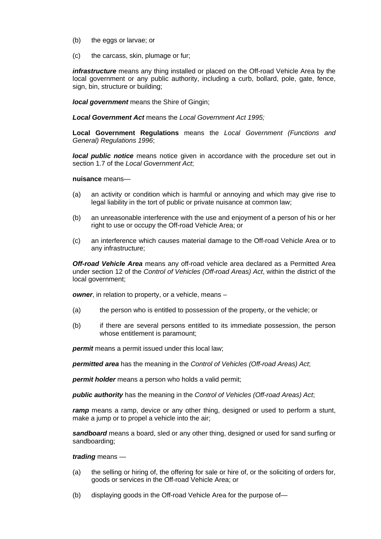- (b) the eggs or larvae; or
- (c) the carcass, skin, plumage or fur;

*infrastructure* means any thing installed or placed on the Off-road Vehicle Area by the local government or any public authority, including a curb, bollard, pole, gate, fence, sign, bin, structure or building;

*local government* means the Shire of Gingin;

*Local Government Act* means the *Local Government Act 1995;* 

**Local Government Regulations** means the *Local Government (Functions and General) Regulations 1996*;

*local public notice* means notice given in accordance with the procedure set out in section 1.7 of the *Local Government Act*;

**nuisance** means—

- (a) an activity or condition which is harmful or annoying and which may give rise to legal liability in the tort of public or private nuisance at common law;
- (b) an unreasonable interference with the use and enjoyment of a person of his or her right to use or occupy the Off-road Vehicle Area; or
- (c) an interference which causes material damage to the Off-road Vehicle Area or to any infrastructure;

*Off-road Vehicle Area* means any off-road vehicle area declared as a Permitted Area under section 12 of the *Control of Vehicles (Off-road Areas) Act*, within the district of the local government;

*owner*, in relation to property, or a vehicle, means –

- (a) the person who is entitled to possession of the property, or the vehicle; or
- (b) if there are several persons entitled to its immediate possession, the person whose entitlement is paramount:

*permit* means a permit issued under this local law:

*permitted area* has the meaning in the *Control of Vehicles (Off-road Areas) Act*;

*permit holder* means a person who holds a valid permit;

*public authority* has the meaning in the *Control of Vehicles (Off-road Areas) Act*;

*ramp* means a ramp, device or any other thing, designed or used to perform a stunt, make a jump or to propel a vehicle into the air;

*sandboard* means a board, sled or any other thing, designed or used for sand surfing or sandboarding;

#### *trading* means —

- (a) the selling or hiring of, the offering for sale or hire of, or the soliciting of orders for, goods or services in the Off-road Vehicle Area; or
- (b) displaying goods in the Off-road Vehicle Area for the purpose of—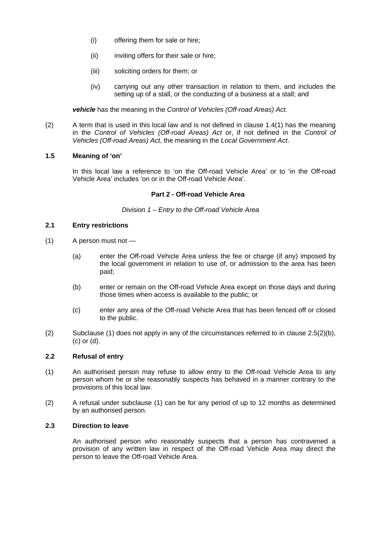- (i) offering them for sale or hire;
- (ii) inviting offers for their sale or hire;
- (iii) soliciting orders for them; or
- (iv) carrying out any other transaction in relation to them, and includes the setting up of a stall, or the conducting of a business at a stall; and

*vehicle* has the meaning in the *Control of Vehicles (Off-road Areas) Act.*

(2) A term that is used in this local law and is not defined in clause 1.4(1) has the meaning in the *Control of Vehicles (Off-road Areas) Act* or, if not defined in the *Control of Vehicles (Off-road Areas) Act*, the meaning in the *Local Government Act*.

#### **1.5 Meaning of 'on'**

In this local law a reference to 'on the Off-road Vehicle Area' or to 'in the Off-road Vehicle Area' includes 'on or in the Off-road Vehicle Area'.

#### **Part 2 - Off-road Vehicle Area**

*Division 1 – Entry to the Off-road Vehicle Area* 

#### **2.1 Entry restrictions**

- (1) A person must not
	- (a) enter the Off-road Vehicle Area unless the fee or charge (if any) imposed by the local government in relation to use of, or admission to the area has been paid;
	- (b) enter or remain on the Off-road Vehicle Area except on those days and during those times when access is available to the public; or
	- (c) enter any area of the Off-road Vehicle Area that has been fenced off or closed to the public.
- (2) Subclause (1) does not apply in any of the circumstances referred to in clause 2.5(2)(b), (c) or (d).

#### **2.2 Refusal of entry**

- (1) An authorised person may refuse to allow entry to the Off-road Vehicle Area to any person whom he or she reasonably suspects has behaved in a manner contrary to the provisions of this local law.
- (2) A refusal under subclause (1) can be for any period of up to 12 months as determined by an authorised person.

#### **2.3 Direction to leave**

An authorised person who reasonably suspects that a person has contravened a provision of any written law in respect of the Off-road Vehicle Area may direct the person to leave the Off-road Vehicle Area.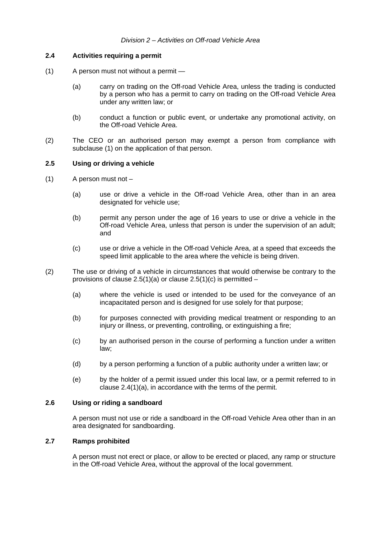#### **2.4 Activities requiring a permit**

- (1) A person must not without a permit
	- (a) carry on trading on the Off-road Vehicle Area, unless the trading is conducted by a person who has a permit to carry on trading on the Off-road Vehicle Area under any written law; or
	- (b) conduct a function or public event, or undertake any promotional activity, on the Off-road Vehicle Area.
- (2) The CEO or an authorised person may exempt a person from compliance with subclause (1) on the application of that person.

#### **2.5 Using or driving a vehicle**

- $(1)$  A person must not
	- (a) use or drive a vehicle in the Off-road Vehicle Area, other than in an area designated for vehicle use;
	- (b) permit any person under the age of 16 years to use or drive a vehicle in the Off-road Vehicle Area, unless that person is under the supervision of an adult; and
	- (c) use or drive a vehicle in the Off-road Vehicle Area, at a speed that exceeds the speed limit applicable to the area where the vehicle is being driven.
- (2) The use or driving of a vehicle in circumstances that would otherwise be contrary to the provisions of clause  $2.5(1)(a)$  or clause  $2.5(1)(c)$  is permitted –
	- (a) where the vehicle is used or intended to be used for the conveyance of an incapacitated person and is designed for use solely for that purpose;
	- (b) for purposes connected with providing medical treatment or responding to an injury or illness, or preventing, controlling, or extinguishing a fire;
	- (c) by an authorised person in the course of performing a function under a written law;
	- (d) by a person performing a function of a public authority under a written law; or
	- (e) by the holder of a permit issued under this local law, or a permit referred to in clause 2.4(1)(a), in accordance with the terms of the permit.

#### **2.6 Using or riding a sandboard**

A person must not use or ride a sandboard in the Off-road Vehicle Area other than in an area designated for sandboarding.

#### **2.7 Ramps prohibited**

A person must not erect or place, or allow to be erected or placed, any ramp or structure in the Off-road Vehicle Area, without the approval of the local government.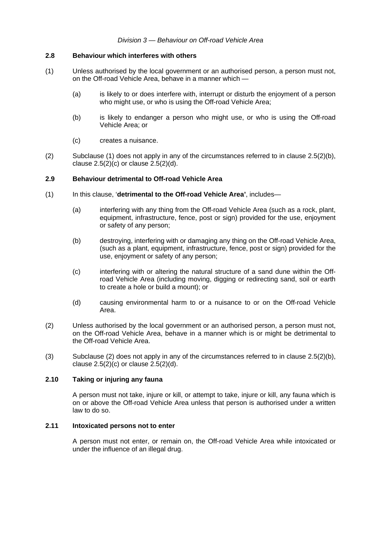#### *Division 3 — Behaviour on Off-road Vehicle Area*

#### **2.8 Behaviour which interferes with others**

- (1) Unless authorised by the local government or an authorised person, a person must not, on the Off-road Vehicle Area, behave in a manner which —
	- (a) is likely to or does interfere with, interrupt or disturb the enjoyment of a person who might use, or who is using the Off-road Vehicle Area;
	- (b) is likely to endanger a person who might use, or who is using the Off-road Vehicle Area; or
	- (c) creates a nuisance.
- (2) Subclause (1) does not apply in any of the circumstances referred to in clause  $2.5(2)(b)$ , clause  $2.5(2)(c)$  or clause  $2.5(2)(d)$ .

#### **2.9 Behaviour detrimental to Off-road Vehicle Area**

- (1) In this clause, '**detrimental to the Off-road Vehicle Area'**, includes—
	- (a) interfering with any thing from the Off-road Vehicle Area (such as a rock, plant, equipment, infrastructure, fence, post or sign) provided for the use, enjoyment or safety of any person;
	- (b) destroying, interfering with or damaging any thing on the Off-road Vehicle Area, (such as a plant, equipment, infrastructure, fence, post or sign) provided for the use, enjoyment or safety of any person;
	- (c) interfering with or altering the natural structure of a sand dune within the Offroad Vehicle Area (including moving, digging or redirecting sand, soil or earth to create a hole or build a mount); or
	- (d) causing environmental harm to or a nuisance to or on the Off-road Vehicle Area.
- (2) Unless authorised by the local government or an authorised person, a person must not, on the Off-road Vehicle Area, behave in a manner which is or might be detrimental to the Off-road Vehicle Area.
- (3) Subclause (2) does not apply in any of the circumstances referred to in clause 2.5(2)(b), clause  $2.5(2)(c)$  or clause  $2.5(2)(d)$ .

#### **2.10 Taking or injuring any fauna**

A person must not take, injure or kill, or attempt to take, injure or kill, any fauna which is on or above the Off-road Vehicle Area unless that person is authorised under a written law to do so.

#### **2.11 Intoxicated persons not to enter**

A person must not enter, or remain on, the Off-road Vehicle Area while intoxicated or under the influence of an illegal drug.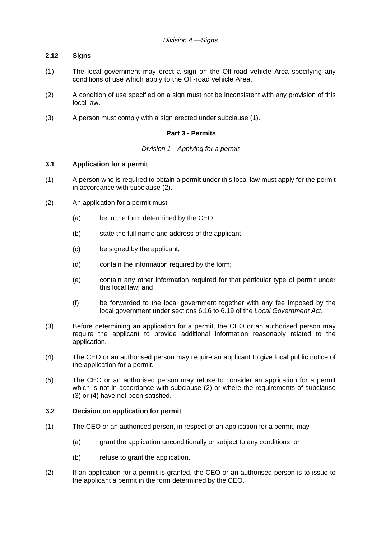#### **2.12 Signs**

- (1) The local government may erect a sign on the Off-road vehicle Area specifying any conditions of use which apply to the Off-road vehicle Area.
- (2) A condition of use specified on a sign must not be inconsistent with any provision of this local law.
- (3) A person must comply with a sign erected under subclause (1).

#### **Part 3 - Permits**

#### *Division 1—Applying for a permit*

#### **3.1 Application for a permit**

- (1) A person who is required to obtain a permit under this local law must apply for the permit in accordance with subclause (2).
- (2) An application for a permit must—
	- (a) be in the form determined by the CEO;
	- (b) state the full name and address of the applicant;
	- (c) be signed by the applicant;
	- (d) contain the information required by the form;
	- (e) contain any other information required for that particular type of permit under this local law; and
	- (f) be forwarded to the local government together with any fee imposed by the local government under sections 6.16 to 6.19 of the *Local Government Act*.
- (3) Before determining an application for a permit, the CEO or an authorised person may require the applicant to provide additional information reasonably related to the application.
- (4) The CEO or an authorised person may require an applicant to give local public notice of the application for a permit.
- (5) The CEO or an authorised person may refuse to consider an application for a permit which is not in accordance with subclause (2) or where the requirements of subclause (3) or (4) have not been satisfied.

#### **3.2 Decision on application for permit**

- (1) The CEO or an authorised person, in respect of an application for a permit, may—
	- (a) grant the application unconditionally or subject to any conditions; or
	- (b) refuse to grant the application.
- (2) If an application for a permit is granted, the CEO or an authorised person is to issue to the applicant a permit in the form determined by the CEO.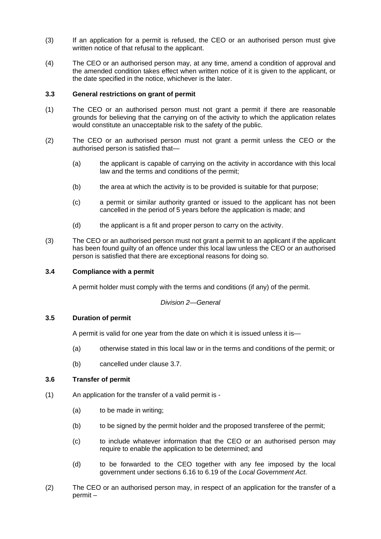- (3) If an application for a permit is refused, the CEO or an authorised person must give written notice of that refusal to the applicant.
- (4) The CEO or an authorised person may, at any time, amend a condition of approval and the amended condition takes effect when written notice of it is given to the applicant, or the date specified in the notice, whichever is the later.

#### **3.3 General restrictions on grant of permit**

- (1) The CEO or an authorised person must not grant a permit if there are reasonable grounds for believing that the carrying on of the activity to which the application relates would constitute an unacceptable risk to the safety of the public.
- (2) The CEO or an authorised person must not grant a permit unless the CEO or the authorised person is satisfied that—
	- (a) the applicant is capable of carrying on the activity in accordance with this local law and the terms and conditions of the permit;
	- (b) the area at which the activity is to be provided is suitable for that purpose;
	- (c) a permit or similar authority granted or issued to the applicant has not been cancelled in the period of 5 years before the application is made; and
	- (d) the applicant is a fit and proper person to carry on the activity.
- (3) The CEO or an authorised person must not grant a permit to an applicant if the applicant has been found guilty of an offence under this local law unless the CEO or an authorised person is satisfied that there are exceptional reasons for doing so.

#### **3.4 Compliance with a permit**

A permit holder must comply with the terms and conditions (if any) of the permit.

#### *Division 2—General*

#### **3.5 Duration of permit**

A permit is valid for one year from the date on which it is issued unless it is—

- (a) otherwise stated in this local law or in the terms and conditions of the permit; or
- (b) cancelled under clause 3.7.

#### **3.6 Transfer of permit**

- (1) An application for the transfer of a valid permit is
	- (a) to be made in writing;
	- (b) to be signed by the permit holder and the proposed transferee of the permit;
	- (c) to include whatever information that the CEO or an authorised person may require to enable the application to be determined; and
	- (d) to be forwarded to the CEO together with any fee imposed by the local government under sections 6.16 to 6.19 of the *Local Government Act*.
- (2) The CEO or an authorised person may, in respect of an application for the transfer of a permit –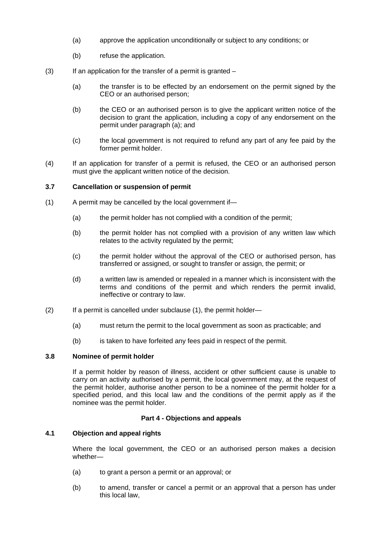- (a) approve the application unconditionally or subject to any conditions; or
- (b) refuse the application.
- $(3)$  If an application for the transfer of a permit is granted
	- (a) the transfer is to be effected by an endorsement on the permit signed by the CEO or an authorised person;
	- (b) the CEO or an authorised person is to give the applicant written notice of the decision to grant the application, including a copy of any endorsement on the permit under paragraph (a); and
	- (c) the local government is not required to refund any part of any fee paid by the former permit holder.
- (4) If an application for transfer of a permit is refused, the CEO or an authorised person must give the applicant written notice of the decision.

#### **3.7 Cancellation or suspension of permit**

- (1) A permit may be cancelled by the local government if—
	- (a) the permit holder has not complied with a condition of the permit;
	- (b) the permit holder has not complied with a provision of any written law which relates to the activity regulated by the permit;
	- (c) the permit holder without the approval of the CEO or authorised person, has transferred or assigned, or sought to transfer or assign, the permit; or
	- (d) a written law is amended or repealed in a manner which is inconsistent with the terms and conditions of the permit and which renders the permit invalid, ineffective or contrary to law.
- (2) If a permit is cancelled under subclause (1), the permit holder—
	- (a) must return the permit to the local government as soon as practicable; and
	- (b) is taken to have forfeited any fees paid in respect of the permit.

#### **3.8 Nominee of permit holder**

If a permit holder by reason of illness, accident or other sufficient cause is unable to carry on an activity authorised by a permit, the local government may, at the request of the permit holder, authorise another person to be a nominee of the permit holder for a specified period, and this local law and the conditions of the permit apply as if the nominee was the permit holder.

#### **Part 4 - Objections and appeals**

#### **4.1 Objection and appeal rights**

Where the local government, the CEO or an authorised person makes a decision whether—

- (a) to grant a person a permit or an approval; or
- (b) to amend, transfer or cancel a permit or an approval that a person has under this local law,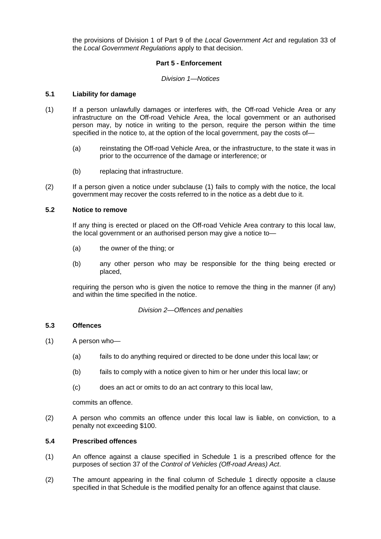the provisions of Division 1 of Part 9 of the *Local Government Act* and regulation 33 of the *Local Government Regulations* apply to that decision.

#### **Part 5 - Enforcement**

#### *Division 1—Notices*

#### **5.1 Liability for damage**

- (1) If a person unlawfully damages or interferes with, the Off-road Vehicle Area or any infrastructure on the Off-road Vehicle Area, the local government or an authorised person may, by notice in writing to the person, require the person within the time specified in the notice to, at the option of the local government, pay the costs of—
	- (a) reinstating the Off-road Vehicle Area, or the infrastructure, to the state it was in prior to the occurrence of the damage or interference; or
	- (b) replacing that infrastructure.
- (2) If a person given a notice under subclause (1) fails to comply with the notice, the local government may recover the costs referred to in the notice as a debt due to it.

#### **5.2 Notice to remove**

If any thing is erected or placed on the Off-road Vehicle Area contrary to this local law, the local government or an authorised person may give a notice to—

- (a) the owner of the thing; or
- (b) any other person who may be responsible for the thing being erected or placed,

requiring the person who is given the notice to remove the thing in the manner (if any) and within the time specified in the notice.

#### *Division 2—Offences and penalties*

#### **5.3 Offences**

- (1) A person who—
	- (a) fails to do anything required or directed to be done under this local law; or
	- (b) fails to comply with a notice given to him or her under this local law; or
	- (c) does an act or omits to do an act contrary to this local law,

commits an offence.

(2) A person who commits an offence under this local law is liable, on conviction, to a penalty not exceeding \$100.

#### **5.4 Prescribed offences**

- (1) An offence against a clause specified in Schedule 1 is a prescribed offence for the purposes of section 37 of the *Control of Vehicles (Off-road Areas) Act*.
- (2) The amount appearing in the final column of Schedule 1 directly opposite a clause specified in that Schedule is the modified penalty for an offence against that clause.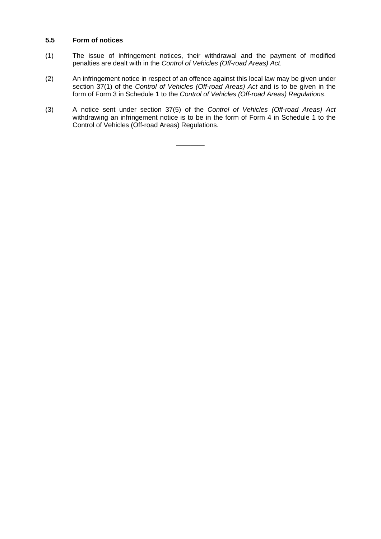#### **5.5 Form of notices**

- (1) The issue of infringement notices, their withdrawal and the payment of modified penalties are dealt with in the *Control of Vehicles (Off-road Areas) Act*.
- (2) An infringement notice in respect of an offence against this local law may be given under section 37(1) of the *Control of Vehicles (Off-road Areas) Act* and is to be given in the form of Form 3 in Schedule 1 to the *Control of Vehicles (Off-road Areas) Regulations*.
- (3) A notice sent under section 37(5) of the *Control of Vehicles (Off-road Areas) Act* withdrawing an infringement notice is to be in the form of Form 4 in Schedule 1 to the Control of Vehicles (Off-road Areas) Regulations.

**————**